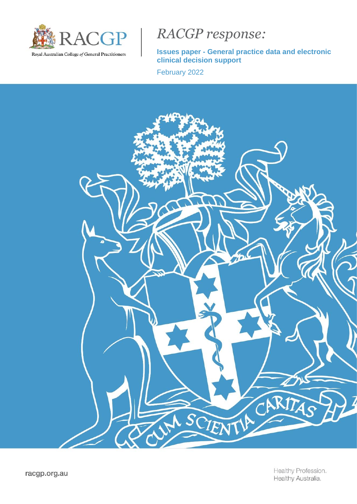

*RACGP response:*

**Issues paper - General practice data and electronic clinical decision support** 

February 2022

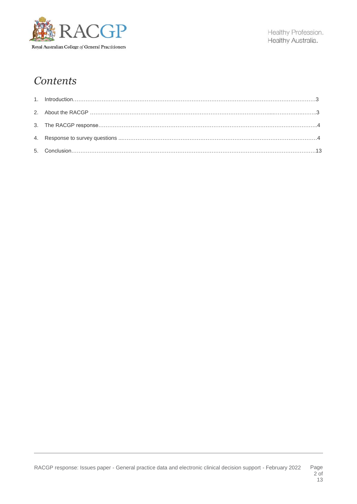

# *Contents*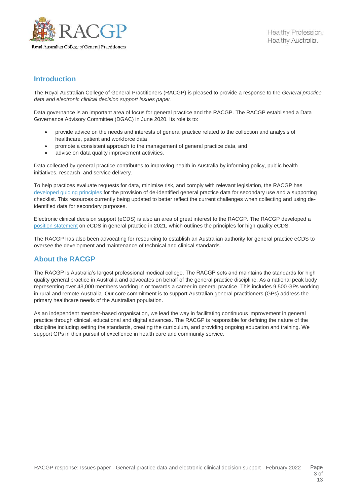

# **Introduction**

The Royal Australian College of General Practitioners (RACGP) is pleased to provide a response to the *General practice data and electronic clinical decision support issues paper*.

Data governance is an important area of focus for general practice and the RACGP. The RACGP established a Data Governance Advisory Committee (DGAC) in June 2020. Its role is to:

- provide advice on the needs and interests of general practice related to the collection and analysis of healthcare, patient and workforce data
- promote a consistent approach to the management of general practice data, and
- advise on data quality improvement activities.

Data collected by general practice contributes to improving health in Australia by informing policy, public health initiatives, research, and service delivery.

To help practices evaluate requests for data, minimise risk, and comply with relevant legislation, the RACGP has [developed guiding principles](https://www.racgp.org.au/running-a-practice/security/managing-practice-information/secondary-use-of-general-practice-data/de-identified-general-practice-data) for the provision of de-identified general practice data for secondary use and a supporting checklist. This resources currently being updated to better reflect the current challenges when collecting and using deidentified data for secondary purposes.

Electronic clinical decision support (eCDS) is also an area of great interest to the RACGP. The RACGP developed a [position statement](https://www.racgp.org.au/advocacy/position-statements/view-all-position-statements/clinical-and-practice-management/electronic-clinical-decision-support) on eCDS in general practice in 2021, which outlines the principles for high quality eCDS.

The RACGP has also been advocating for resourcing to establish an Australian authority for general practice eCDS to oversee the development and maintenance of technical and clinical standards.

# **About the RACGP**

The RACGP is Australia's largest professional medical college. The RACGP sets and maintains the standards for high quality general practice in Australia and advocates on behalf of the general practice discipline. As a national peak body representing over 43,000 members working in or towards a career in general practice. This includes 9,500 GPs working in rural and remote Australia. Our core commitment is to support Australian general practitioners (GPs) address the primary healthcare needs of the Australian population.

As an independent member-based organisation, we lead the way in facilitating continuous improvement in general practice through clinical, educational and digital advances. The RACGP is responsible for defining the nature of the discipline including setting the standards, creating the curriculum, and providing ongoing education and training. We support GPs in their pursuit of excellence in health care and community service.

13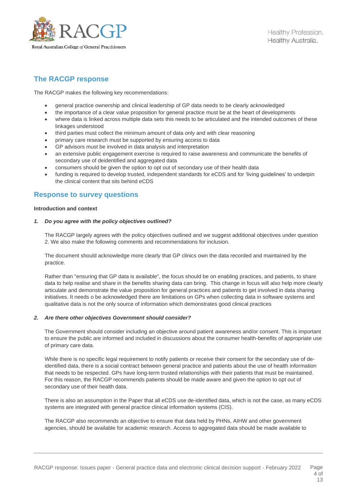

# **The RACGP response**

The RACGP makes the following key recommendations:

- general practice ownership and clinical leadership of GP data needs to be clearly acknowledged
- the importance of a clear value proposition for general practice must be at the heart of developments
- where data is linked across multiple data sets this needs to be articulated and the intended outcomes of these linkages understood
- third parties must collect the minimum amount of data only and with clear reasoning
- primary care research must be supported by ensuring access to data
- GP advisors must be involved in data analysis and interpretation
- an extensive public engagement exercise is required to raise awareness and communicate the benefits of secondary use of deidentified and aggregated data
- consumers should be given the option to opt out of secondary use of their health data
- funding is required to develop trusted, independent standards for eCDS and for 'living guidelines' to underpin the clinical content that sits behind eCDS

# **Response to survey questions**

# **Introduction and context**

## *1. Do you agree with the policy objectives outlined?*

The RACGP largely agrees with the policy objectives outlined and we suggest additional objectives under question 2. We also make the following comments and recommendations for inclusion.

The document should acknowledge more clearly that GP clinics own the data recorded and maintained by the practice.

Rather than "ensuring that GP data is available", the focus should be on enabling practices, and patients, to share data to help realise and share in the benefits sharing data can bring. This change in focus will also help more clearly articulate and demonstrate the value proposition for general practices and patients to get involved in data sharing initiatives. It needs o be acknowledged there are limitations on GPs when collecting data in software systems and qualitative data is not the only source of information which demonstrates good clinical practices

# *2. Are there other objectives Government should consider?*

The Government should consider including an objective around patient awareness and/or consent. This is important to ensure the public are informed and included in discussions about the consumer health-benefits of appropriate use of primary care data.

While there is no specific legal requirement to notify patients or receive their consent for the secondary use of deidentified data, there is a social contract between general practice and patients about the use of health information that needs to be respected. GPs have long-term trusted relationships with their patients that must be maintained. For this reason, the RACGP recommends patients should be made aware and given the option to opt out of secondary use of their health data.

There is also an assumption in the Paper that all eCDS use de-identified data, which is not the case, as many eCDS systems are integrated with general practice clinical information systems (CIS).

The RACGP also recommends an objective to ensure that data held by PHNs, AIHW and other government agencies, should be available for academic research. Access to aggregated data should be made available to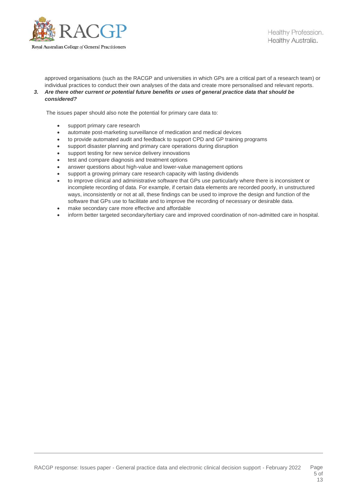

approved organisations (such as the RACGP and universities in which GPs are a critical part of a research team) or individual practices to conduct their own analyses of the data and create more personalised and relevant reports.

*3. Are there other current or potential future benefits or uses of general practice data that should be considered?*

The issues paper should also note the potential for primary care data to:

- support primary care research
- automate post-marketing surveillance of medication and medical devices
- to provide automated audit and feedback to support CPD and GP training programs
- support disaster planning and primary care operations during disruption
- support testing for new service delivery innovations
- test and compare diagnosis and treatment options
- answer questions about high-value and lower-value management options
- support a growing primary care research capacity with lasting dividends
- to improve clinical and administrative software that GPs use particularly where there is inconsistent or incomplete recording of data. For example, if certain data elements are recorded poorly, in unstructured ways, inconsistently or not at all, these findings can be used to improve the design and function of the software that GPs use to facilitate and to improve the recording of necessary or desirable data.
- make secondary care more effective and affordable
- inform better targeted secondary/tertiary care and improved coordination of non-admitted care in hospital.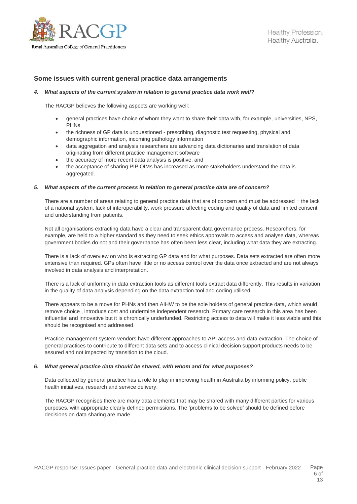

# **Some issues with current general practice data arrangements**

#### *4. What aspects of the current system in relation to general practice data work well?*

The RACGP believes the following aspects are working well:

- general practices have choice of whom they want to share their data with, for example, universities, NPS, PHNs
- the richness of GP data is unquestioned prescribing, diagnostic test requesting, physical and demographic information, incoming pathology information
- data aggregation and analysis researchers are advancing data dictionaries and translation of data originating from different practice management software
- the accuracy of more recent data analysis is positive, and
- the acceptance of sharing PIP QIMs has increased as more stakeholders understand the data is aggregated.

#### *5. What aspects of the current process in relation to general practice data are of concern?*

There are a number of areas relating to general practice data that are of concern and must be addressed − the lack of a national system, lack of interoperability, work pressure affecting coding and quality of data and limited consent and understanding from patients.

Not all organisations extracting data have a clear and transparent data governance process. Researchers, for example, are held to a higher standard as they need to seek ethics approvals to access and analyse data, whereas government bodies do not and their governance has often been less clear, including what data they are extracting.

There is a lack of overview on who is extracting GP data and for what purposes. Data sets extracted are often more extensive than required. GPs often have little or no access control over the data once extracted and are not always involved in data analysis and interpretation.

There is a lack of uniformity in data extraction tools as different tools extract data differently. This results in variation in the quality of data analysis depending on the data extraction tool and coding utilised.

There appears to be a move for PHNs and then AIHW to be the sole holders of general practice data, which would remove choice , introduce cost and undermine independent research. Primary care research in this area has been influential and innovative but it is chronically underfunded. Restricting access to data will make it less viable and this should be recognised and addressed.

Practice management system vendors have different approaches to API access and data extraction. The choice of general practices to contribute to different data sets and to access clinical decision support products needs to be assured and not impacted by transition to the cloud.

## *6. What general practice data should be shared, with whom and for what purposes?*

Data collected by general practice has a role to play in improving health in Australia by informing policy, public health initiatives, research and service delivery.

The RACGP recognises there are many data elements that may be shared with many different parties for various purposes, with appropriate clearly defined permissions. The 'problems to be solved' should be defined before decisions on data sharing are made.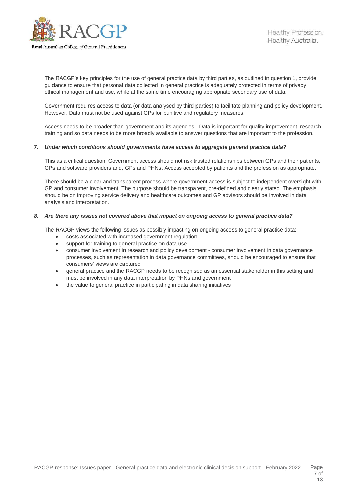

The RACGP's key principles for the use of general practice data by third parties, as outlined in question 1, provide guidance to ensure that personal data collected in general practice is adequately protected in terms of privacy, ethical management and use, while at the same time encouraging appropriate secondary use of data.

Government requires access to data (or data analysed by third parties) to facilitate planning and policy development. However, Data must not be used against GPs for punitive and regulatory measures.

Access needs to be broader than government and its agencies.. Data is important for quality improvement, research, training and so data needs to be more broadly available to answer questions that are important to the profession.

## *7. Under which conditions should governments have access to aggregate general practice data?*

This as a critical question. Government access should not risk trusted relationships between GPs and their patients, GPs and software providers and, GPs and PHNs. Access accepted by patients and the profession as appropriate.

There should be a clear and transparent process where government access is subject to independent oversight with GP and consumer involvement. The purpose should be transparent, pre-defined and clearly stated. The emphasis should be on improving service delivery and healthcare outcomes and GP advisors should be involved in data analysis and interpretation.

## *8. Are there any issues not covered above that impact on ongoing access to general practice data?*

The RACGP views the following issues as possibly impacting on ongoing access to general practice data:

- costs associated with increased government regulation
- support for training to general practice on data use
- consumer involvement in research and policy development consumer involvement in data governance processes, such as representation in data governance committees, should be encouraged to ensure that consumers' views are captured
- general practice and the RACGP needs to be recognised as an essential stakeholder in this setting and must be involved in any data interpretation by PHNs and government
- the value to general practice in participating in data sharing initiatives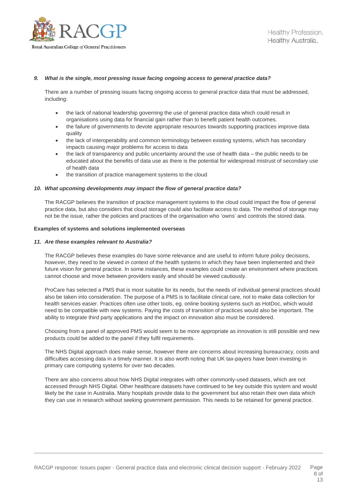

## *9. What is the single, most pressing issue facing ongoing access to general practice data?*

There are a number of pressing issues facing ongoing access to general practice data that must be addressed, including:

- the lack of national leadership governing the use of general practice data which could result in organisations using data for financial gain rather than to benefit patient health outcomes.
- the failure of governments to devote appropriate resources towards supporting practices improve data quality
- the lack of interoperability and common terminology between existing systems, which has secondary impacts causing major problems for access to data
- the lack of transparency and public uncertainty around the use of health data the public needs to be educated about the benefits of data use as there is the potential for widespread mistrust of secondary use of health data
- the transition of practice management systems to the cloud

## *10. What upcoming developments may impact the flow of general practice data?*

The RACGP believes the transition of practice management systems to the cloud could impact the flow of general practice data, but also considers that cloud storage could also facilitate access to data. The method of storage may not be the issue, rather the policies and practices of the organisation who 'owns' and controls the stored data.

#### **Examples of systems and solutions implemented overseas**

#### *11. Are these examples relevant to Australia?*

The RACGP believes these examples do have some relevance and are useful to inform future policy decisions, however, they need to be viewed in context of the health systems in which they have been implemented and their future vision for general practice. In some instances, these examples could create an environment where practices cannot choose and move between providers easily and should be viewed cautiously.

ProCare has selected a PMS that is most suitable for its needs, but the needs of individual general practices should also be taken into consideration. The purpose of a PMS is to facilitate clinical care, not to make data collection for health services easier. Practices often use other tools, eg. online booking systems such as HotDoc, which would need to be compatible with new systems. Paying the costs of transition of practices would also be important. The ability to integrate third party applications and the impact on innovation also must be considered.

Choosing from a panel of approved PMS would seem to be more appropriate as innovation is still possible and new products could be added to the panel if they fulfil requirements.

The NHS Digital approach does make sense, however there are concerns about increasing bureaucracy, costs and difficulties accessing data in a timely manner. It is also worth noting that UK tax-payers have been investing in primary care computing systems for over two decades.

There are also concerns about how NHS Digital integrates with other commonly-used datasets, which are not accessed through NHS Digital. Other healthcare datasets have continued to be key outside this system and would likely be the case in Australia. Many hospitals provide data to the government but also retain their own data which they can use in research without seeking government permission. This needs to be retained for general practice.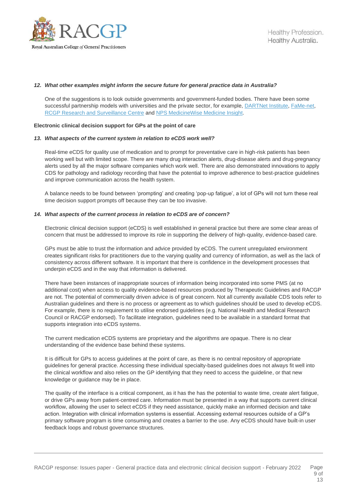

# *12. What other examples might inform the secure future for general practice data in Australia?*

One of the suggestions is to look outside governments and government-funded bodies. There have been some successful partnership models with universities and the private sector, for example, [DARTNet Institute,](https://dartnet.info/) [FaMe-net,](https://www.famenet.nl/) [RCGP Research and Surveillance Centre](https://www.rcgp.org.uk/clinical-and-research/our-programmes/research-and-surveillance-centre.aspx) and [NPS MedicineWise Medicine Insight.](https://www.nps.org.au/medicine-insight)

## **Electronic clinical decision support for GPs at the point of care**

#### *13. What aspects of the current system in relation to eCDS work well?*

Real-time eCDS for quality use of medication and to prompt for preventative care in high-risk patients has been working well but with limited scope. There are many drug interaction alerts, drug-disease alerts and drug-pregnancy alerts used by all the major software companies which work well. There are also demonstrated innovations to apply CDS for pathology and radiology recording that have the potential to improve adherence to best-practice guidelines and improve communication across the health system.

A balance needs to be found between 'prompting' and creating 'pop-up fatigue', a lot of GPs will not turn these real time decision support prompts off because they can be too invasive.

#### *14. What aspects of the current process in relation to eCDS are of concern?*

Electronic clinical decision support (eCDS) is well established in general practice but there are some clear areas of concern that must be addressed to improve its role in supporting the delivery of high-quality, evidence-based care.

GPs must be able to trust the information and advice provided by eCDS. The current unregulated environment creates significant risks for practitioners due to the varying quality and currency of information, as well as the lack of consistency across different software. It is important that there is confidence in the development processes that underpin eCDS and in the way that information is delivered.

There have been instances of inappropriate sources of information being incorporated into some PMS (at no additional cost) when access to quality evidence-based resources produced by Therapeutic Guidelines and RACGP are not. The potential of commercially driven advice is of great concern. Not all currently available CDS tools refer to Australian guidelines and there is no process or agreement as to which guidelines should be used to develop eCDS. For example, there is no requirement to utilise endorsed guidelines (e.g. National Health and Medical Research Council or RACGP endorsed). To facilitate integration, guidelines need to be available in a standard format that supports integration into eCDS systems.

The current medication eCDS systems are proprietary and the algorithms are opaque. There is no clear understanding of the evidence base behind these systems.

It is difficult for GPs to access guidelines at the point of care, as there is no central repository of appropriate guidelines for general practice. Accessing these individual specialty-based guidelines does not always fit well into the clinical workflow and also relies on the GP identifying that they need to access the guideline, or that new knowledge or guidance may be in place.

The quality of the interface is a critical component, as it has the has the potential to waste time, create alert fatigue, or drive GPs away from patient-centred care. Information must be presented in a way that supports current clinical workflow, allowing the user to select eCDS if they need assistance, quickly make an informed decision and take action. Integration with clinical information systems is essential. Accessing external resources outside of a GP's primary software program is time consuming and creates a barrier to the use. Any eCDS should have built-in user feedback loops and robust governance structures.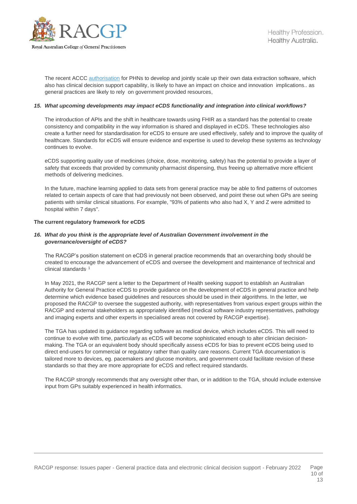

The recent ACCC [authorisation](https://www.accc.gov.au/update/accc-proposes-to-authorise-arrangements-for-primary-health-network-to-scale-up-data-extraction-tool-for-wider-use) for PHNs to develop and jointly scale up their own data extraction software, which also has clinical decision support capability, is likely to have an impact on choice and innovation implications.. as general practices are likely to rely on government provided resources,

#### *15. What upcoming developments may impact eCDS functionality and integration into clinical workflows?*

The introduction of APIs and the shift in healthcare towards using FHIR as a standard has the potential to create consistency and compatibility in the way information is shared and displayed in eCDS. These technologies also create a further need for standardisation for eCDS to ensure are used effectively, safely and to improve the quality of healthcare. Standards for eCDS will ensure evidence and expertise is used to develop these systems as technology continues to evolve.

eCDS supporting quality use of medicines (choice, dose, monitoring, safety) has the potential to provide a layer of safety that exceeds that provided by community pharmacist dispensing, thus freeing up alternative more efficient methods of delivering medicines.

In the future, machine learning applied to data sets from general practice may be able to find patterns of outcomes related to certain aspects of care that had previously not been observed, and point these out when GPs are seeing patients with similar clinical situations. For example, "93% of patients who also had X, Y and Z were admitted to hospital within 7 days".

## **The current regulatory framework for eCDS**

# *16. What do you think is the appropriate level of Australian Government involvement in the governance/oversight of eCDS?*

The RACGP's position statement on eCDS in general practice recommends that an overarching body should be created to encourage the advancement of eCDS and oversee the development and maintenance of technical and clinical standards. 1

In May 2021, the RACGP sent a letter to the Department of Health seeking support to establish an Australian Authority for General Practice eCDS to provide guidance on the development of eCDS in general practice and help determine which evidence based guidelines and resources should be used in their algorithms. In the letter, we proposed the RACGP to oversee the suggested authority, with representatives from various expert groups within the RACGP and external stakeholders as appropriately identified (medical software industry representatives, pathology and imaging experts and other experts in specialised areas not covered by RACGP expertise).

The TGA has updated its guidance regarding software as medical device, which includes eCDS. This will need to continue to evolve with time, particularly as eCDS will become sophisticated enough to alter clinician decisionmaking. The TGA or an equivalent body should specifically assess eCDS for bias to prevent eCDS being used to direct end-users for commercial or regulatory rather than quality care reasons. Current TGA documentation is tailored more to devices, eg. pacemakers and glucose monitors, and government could facilitate revision of these standards so that they are more appropriate for eCDS and reflect required standards.

The RACGP strongly recommends that any oversight other than, or in addition to the TGA, should include extensive input from GPs suitably experienced in health informatics.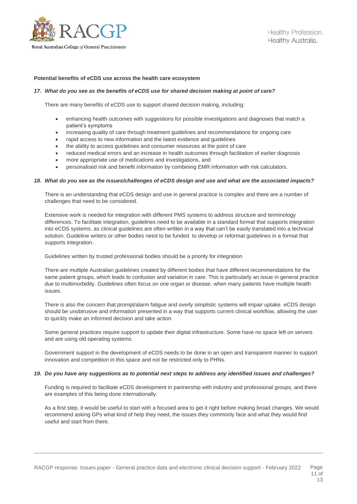

## **Potential benefits of eCDS use across the health care ecosystem**

#### *17. What do you see as the benefits of eCDS use for shared decision making at point of care?*

There are many benefits of eCDS use to support shared decision making, including:

- enhancing health outcomes with suggestions for possible investigations and diagnoses that match a patient's symptoms
- increasing quality of care through treatment guidelines and recommendations for ongoing care
- rapid access to new information and the latest evidence and guidelines
- the ability to access guidelines and consumer resources at the point of care
- reduced medical errors and an increase in health outcomes through facilitation of earlier diagnosis
- more appropriate use of medications and investigations, and
- personalised risk and benefit information by combining EMR information with risk calculators.

#### *18. What do you see as the issues/challenges of eCDS design and use and what are the associated impacts?*

There is an understanding that eCDS design and use in general practice is complex and there are a number of challenges that need to be considered.

Extensive work is needed for integration with different PMS systems to address structure and terminology differences. To facilitate integration, guidelines need to be available in a standard format that supports integration into eCDS systems, as clinical guidelines are often written in a way that can't be easily translated into a technical solution. Guideline writers or other bodies need to be funded to develop or reformat guidelines in a format that supports integration.

Guidelines written by trusted professional bodies should be a priority for integration

There are multiple Australian guidelines created by different bodies that have different recommendations for the same patient groups, which leads to confusion and variation in care. This is particularly an issue in general practice due to multimorbidity. Guidelines often focus on one organ or disease, when many patients have multiple health issues.

There is also the concern that prompt/alarm fatigue and overly simplistic systems will impair uptake. eCDS design should be unobtrusive and information presented in a way that supports current clinical workflow, allowing the user to quickly make an informed decision and take action.

Some general practices require support to update their digital infrastructure. Some have no space left on servers and are using old operating systems.

Government support in the development of eCDS needs to be done in an open and transparent manner to support innovation and competition in this space and not be restricted only to PHNs.

#### *19. Do you have any suggestions as to potential next steps to address any identified issues and challenges?*

Funding is required to facilitate eCDS development in partnership with industry and professional groups, and there are examples of this being done internationally.

As a first step, it would be useful to start with a focused area to get it right before making broad changes. We would recommend asking GPs what kind of help they need, the issues they commonly face and what they would find useful and start from there.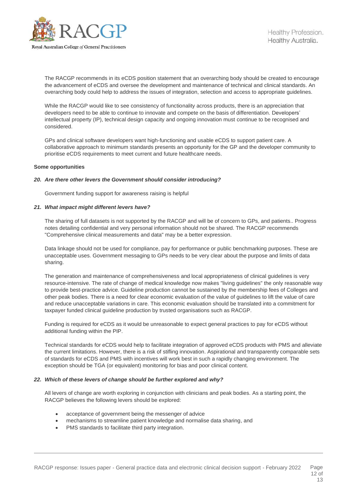

The RACGP recommends in its eCDS position statement that an overarching body should be created to encourage the advancement of eCDS and oversee the development and maintenance of technical and clinical standards. An overarching body could help to address the issues of integration, selection and access to appropriate guidelines.

While the RACGP would like to see consistency of functionality across products, there is an appreciation that developers need to be able to continue to innovate and compete on the basis of differentiation. Developers' intellectual property (IP), technical design capacity and ongoing innovation must continue to be recognised and considered.

GPs and clinical software developers want high-functioning and usable eCDS to support patient care. A collaborative approach to minimum standards presents an opportunity for the GP and the developer community to prioritise eCDS requirements to meet current and future healthcare needs.

## **Some opportunities**

# *20. Are there other levers the Government should consider introducing?*

Government funding support for awareness raising is helpful

#### *21. What impact might different levers have?*

The sharing of full datasets is not supported by the RACGP and will be of concern to GPs, and patients.. Progress notes detailing confidential and very personal information should not be shared. The RACGP recommends "Comprehensive clinical measurements and data" may be a better expression.

Data linkage should not be used for compliance, pay for performance or public benchmarking purposes. These are unacceptable uses. Government messaging to GPs needs to be very clear about the purpose and limits of data sharing.

The generation and maintenance of comprehensiveness and local appropriateness of clinical guidelines is very resource-intensive. The rate of change of medical knowledge now makes "living guidelines" the only reasonable way to provide best-practice advice. Guideline production cannot be sustained by the membership fees of Colleges and other peak bodies. There is a need for clear economic evaluation of the value of guidelines to lift the value of care and reduce unacceptable variations in care. This economic evaluation should be translated into a commitment for taxpayer funded clinical guideline production by trusted organisations such as RACGP.

Funding is required for eCDS as it would be unreasonable to expect general practices to pay for eCDS without additional funding within the PIP.

Technical standards for eCDS would help to facilitate integration of approved eCDS products with PMS and alleviate the current limitations. However, there is a risk of stifling innovation. Aspirational and transparently comparable sets of standards for eCDS and PMS with incentives will work best in such a rapidly changing environment. The exception should be TGA (or equivalent) monitoring for bias and poor clinical content.

## *22. Which of these levers of change should be further explored and why?*

All levers of change are worth exploring in conjunction with clinicians and peak bodies. As a starting point, the RACGP believes the following levers should be explored:

- acceptance of government being the messenger of advice
- mechanisms to streamline patient knowledge and normalise data sharing, and
- PMS standards to facilitate third party integration.